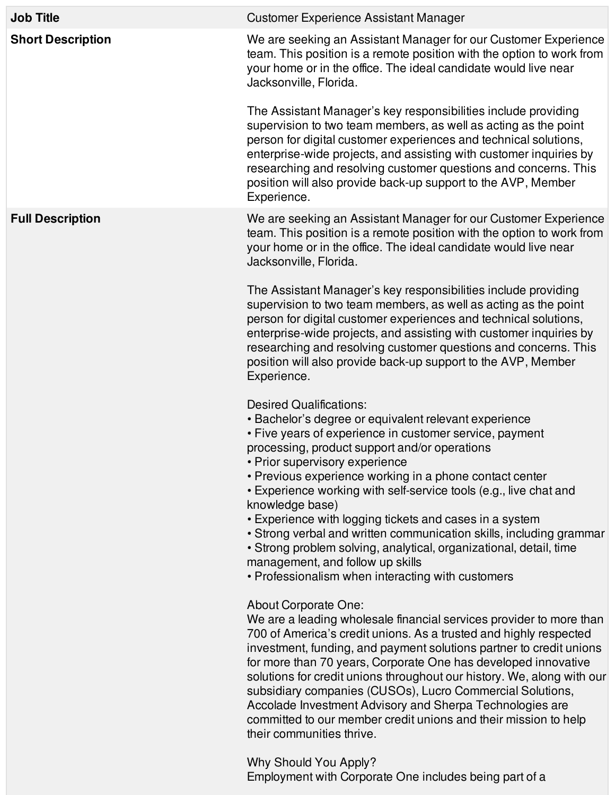| <b>Job Title</b>         | <b>Customer Experience Assistant Manager</b>                                                                                                                                                                                                                                                                                                                                                                                                                                                                                                                                                                                                                                              |
|--------------------------|-------------------------------------------------------------------------------------------------------------------------------------------------------------------------------------------------------------------------------------------------------------------------------------------------------------------------------------------------------------------------------------------------------------------------------------------------------------------------------------------------------------------------------------------------------------------------------------------------------------------------------------------------------------------------------------------|
| <b>Short Description</b> | We are seeking an Assistant Manager for our Customer Experience<br>team. This position is a remote position with the option to work from<br>your home or in the office. The ideal candidate would live near<br>Jacksonville, Florida.<br>The Assistant Manager's key responsibilities include providing<br>supervision to two team members, as well as acting as the point<br>person for digital customer experiences and technical solutions,                                                                                                                                                                                                                                            |
|                          | enterprise-wide projects, and assisting with customer inquiries by<br>researching and resolving customer questions and concerns. This<br>position will also provide back-up support to the AVP, Member<br>Experience.                                                                                                                                                                                                                                                                                                                                                                                                                                                                     |
| <b>Full Description</b>  | We are seeking an Assistant Manager for our Customer Experience<br>team. This position is a remote position with the option to work from<br>your home or in the office. The ideal candidate would live near<br>Jacksonville, Florida.                                                                                                                                                                                                                                                                                                                                                                                                                                                     |
|                          | The Assistant Manager's key responsibilities include providing<br>supervision to two team members, as well as acting as the point<br>person for digital customer experiences and technical solutions,<br>enterprise-wide projects, and assisting with customer inquiries by<br>researching and resolving customer questions and concerns. This<br>position will also provide back-up support to the AVP, Member<br>Experience.                                                                                                                                                                                                                                                            |
|                          | <b>Desired Qualifications:</b><br>• Bachelor's degree or equivalent relevant experience<br>• Five years of experience in customer service, payment<br>processing, product support and/or operations<br>• Prior supervisory experience<br>• Previous experience working in a phone contact center<br>• Experience working with self-service tools (e.g., live chat and<br>knowledge base)<br>• Experience with logging tickets and cases in a system<br>• Strong verbal and written communication skills, including grammar<br>• Strong problem solving, analytical, organizational, detail, time<br>management, and follow up skills<br>• Professionalism when interacting with customers |
|                          | <b>About Corporate One:</b><br>We are a leading wholesale financial services provider to more than<br>700 of America's credit unions. As a trusted and highly respected<br>investment, funding, and payment solutions partner to credit unions<br>for more than 70 years, Corporate One has developed innovative<br>solutions for credit unions throughout our history. We, along with our<br>subsidiary companies (CUSOs), Lucro Commercial Solutions,<br>Accolade Investment Advisory and Sherpa Technologies are<br>committed to our member credit unions and their mission to help<br>their communities thrive.                                                                       |
|                          | <b>Why Should You Apply?</b>                                                                                                                                                                                                                                                                                                                                                                                                                                                                                                                                                                                                                                                              |

Employment with Corporate One includes being part of a